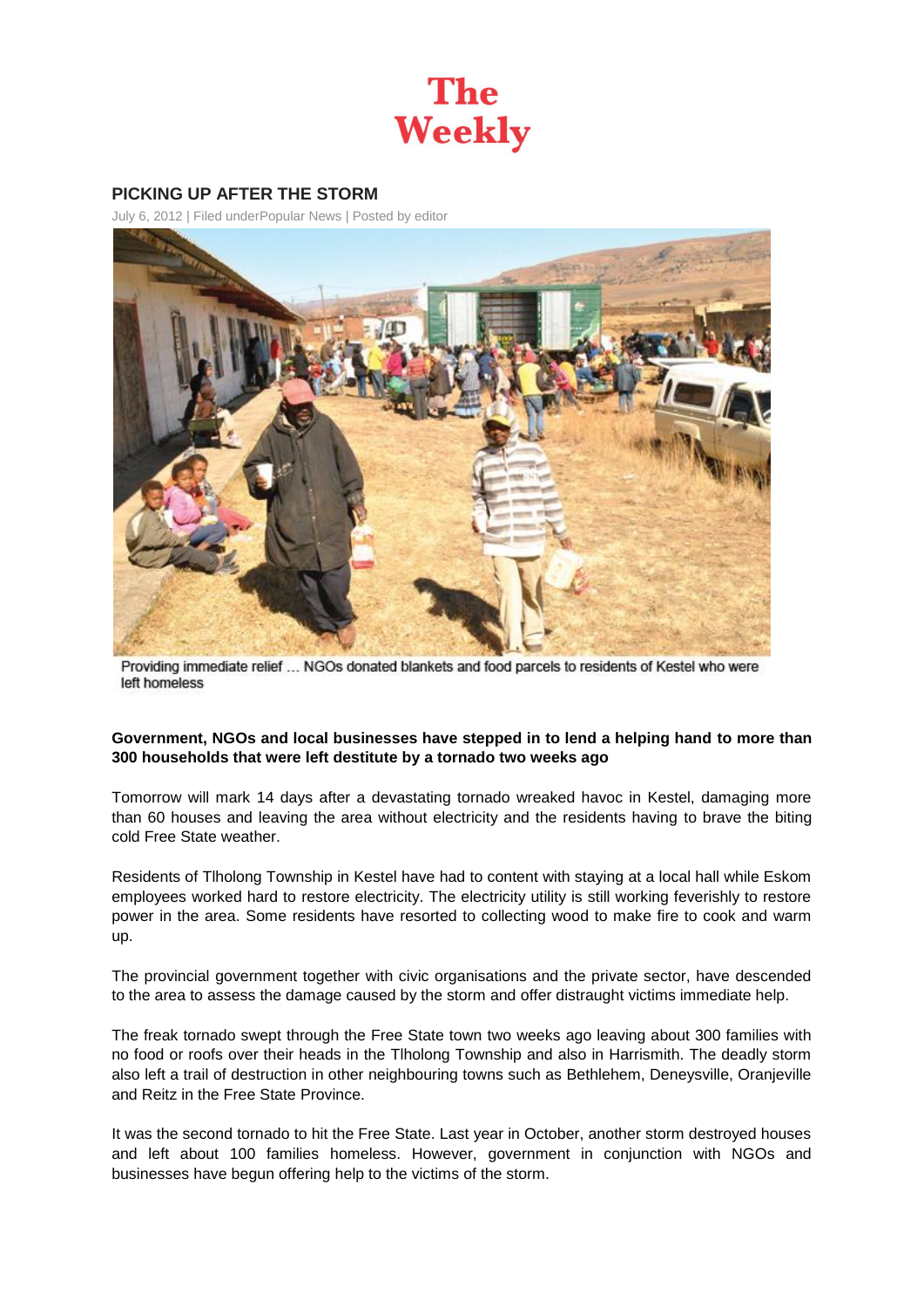

## **PICKING UP AFTER THE STORM**

July 6, 2012 | Filed unde[rPopular News](http://theweekly.co.za/?cat=10) | Posted by [editor](http://theweekly.co.za/?author=1)



Providing immediate relief ... NGOs donated blankets and food parcels to residents of Kestel who were left homeless

## **Government, NGOs and local businesses have stepped in to lend a helping hand to more than 300 households that were left destitute by a tornado two weeks ago**

Tomorrow will mark 14 days after a devastating tornado wreaked havoc in Kestel, damaging more than 60 houses and leaving the area without electricity and the residents having to brave the biting cold Free State weather.

Residents of Tlholong Township in Kestel have had to content with staying at a local hall while Eskom employees worked hard to restore electricity. The electricity utility is still working feverishly to restore power in the area. Some residents have resorted to collecting wood to make fire to cook and warm up.

The provincial government together with civic organisations and the private sector, have descended to the area to assess the damage caused by the storm and offer distraught victims immediate help.

The freak tornado swept through the Free State town two weeks ago leaving about 300 families with no food or roofs over their heads in the Tlholong Township and also in Harrismith. The deadly storm also left a trail of destruction in other neighbouring towns such as Bethlehem, Deneysville, Oranjeville and Reitz in the Free State Province.

It was the second tornado to hit the Free State. Last year in October, another storm destroyed houses and left about 100 families homeless. However, government in conjunction with NGOs and businesses have begun offering help to the victims of the storm.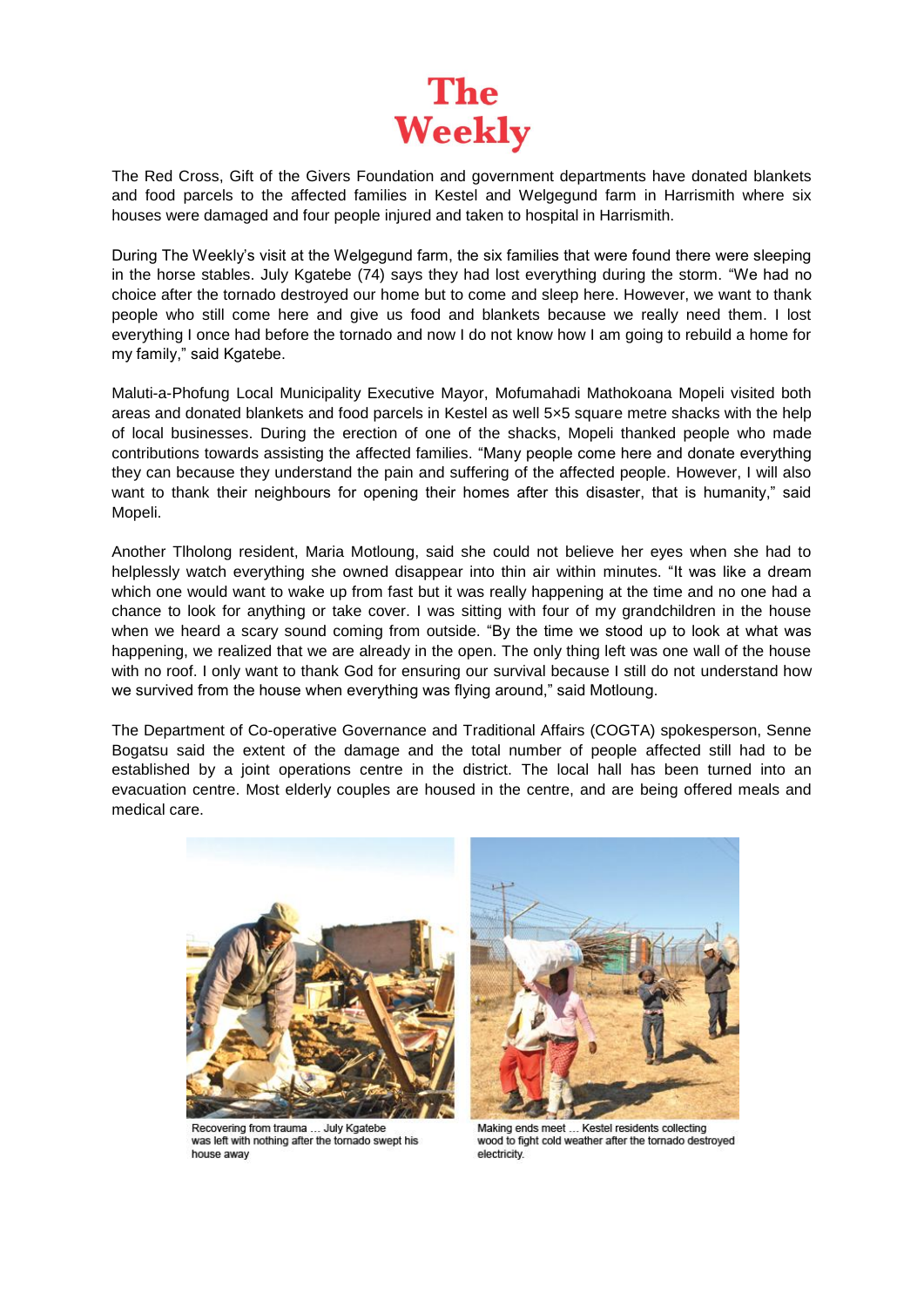

The Red Cross, Gift of the Givers Foundation and government departments have donated blankets and food parcels to the affected families in Kestel and Welgegund farm in Harrismith where six houses were damaged and four people injured and taken to hospital in Harrismith.

During The Weekly's visit at the Welgegund farm, the six families that were found there were sleeping in the horse stables. July Kgatebe (74) says they had lost everything during the storm. "We had no choice after the tornado destroyed our home but to come and sleep here. However, we want to thank people who still come here and give us food and blankets because we really need them. I lost everything I once had before the tornado and now I do not know how I am going to rebuild a home for my family," said Kgatebe.

Maluti-a-Phofung Local Municipality Executive Mayor, Mofumahadi Mathokoana Mopeli visited both areas and donated blankets and food parcels in Kestel as well 5×5 square metre shacks with the help of local businesses. During the erection of one of the shacks, Mopeli thanked people who made contributions towards assisting the affected families. "Many people come here and donate everything they can because they understand the pain and suffering of the affected people. However, I will also want to thank their neighbours for opening their homes after this disaster, that is humanity," said Mopeli.

Another Tlholong resident, Maria Motloung, said she could not believe her eyes when she had to helplessly watch everything she owned disappear into thin air within minutes. "It was like a dream which one would want to wake up from fast but it was really happening at the time and no one had a chance to look for anything or take cover. I was sitting with four of my grandchildren in the house when we heard a scary sound coming from outside. "By the time we stood up to look at what was happening, we realized that we are already in the open. The only thing left was one wall of the house with no roof. I only want to thank God for ensuring our survival because I still do not understand how we survived from the house when everything was flying around," said Motloung.

The Department of Co-operative Governance and Traditional Affairs (COGTA) spokesperson, Senne Bogatsu said the extent of the damage and the total number of people affected still had to be established by a joint operations centre in the district. The local hall has been turned into an evacuation centre. Most elderly couples are housed in the centre, and are being offered meals and medical care.



Recovering from trauma ... July Kgatebe was left with nothing after the tornado swept his house away



Making ends meet ... Kestel residents collecting wood to fight cold weather after the tornado destroyed electricity.